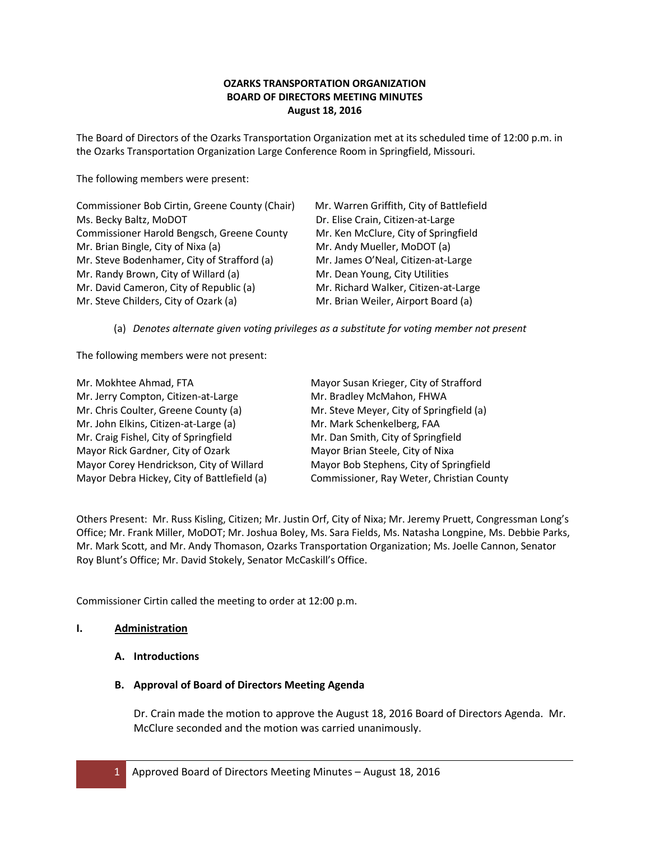# **OZARKS TRANSPORTATION ORGANIZATION BOARD OF DIRECTORS MEETING MINUTES August 18, 2016**

The Board of Directors of the Ozarks Transportation Organization met at its scheduled time of 12:00 p.m. in the Ozarks Transportation Organization Large Conference Room in Springfield, Missouri.

The following members were present:

| Commissioner Bob Cirtin, Greene County (Chair) | Mr. Warren Griffith, City of Battlefield |
|------------------------------------------------|------------------------------------------|
| Ms. Becky Baltz, MoDOT                         | Dr. Elise Crain, Citizen-at-Large        |
| Commissioner Harold Bengsch, Greene County     | Mr. Ken McClure, City of Springfield     |
| Mr. Brian Bingle, City of Nixa (a)             | Mr. Andy Mueller, MoDOT (a)              |
| Mr. Steve Bodenhamer, City of Strafford (a)    | Mr. James O'Neal, Citizen-at-Large       |
| Mr. Randy Brown, City of Willard (a)           | Mr. Dean Young, City Utilities           |
| Mr. David Cameron, City of Republic (a)        | Mr. Richard Walker, Citizen-at-Large     |
| Mr. Steve Childers, City of Ozark (a)          | Mr. Brian Weiler, Airport Board (a)      |

(a) *Denotes alternate given voting privileges as a substitute for voting member not present*

The following members were not present:

| Mr. Mokhtee Ahmad, FTA                      | Mayor Susan Krieger, City of Strafford    |
|---------------------------------------------|-------------------------------------------|
| Mr. Jerry Compton, Citizen-at-Large         | Mr. Bradley McMahon, FHWA                 |
| Mr. Chris Coulter, Greene County (a)        | Mr. Steve Meyer, City of Springfield (a)  |
| Mr. John Elkins, Citizen-at-Large (a)       | Mr. Mark Schenkelberg, FAA                |
| Mr. Craig Fishel, City of Springfield       | Mr. Dan Smith, City of Springfield        |
| Mayor Rick Gardner, City of Ozark           | Mayor Brian Steele, City of Nixa          |
| Mayor Corey Hendrickson, City of Willard    | Mayor Bob Stephens, City of Springfield   |
| Mayor Debra Hickey, City of Battlefield (a) | Commissioner, Ray Weter, Christian County |

Others Present: Mr. Russ Kisling, Citizen; Mr. Justin Orf, City of Nixa; Mr. Jeremy Pruett, Congressman Long's Office; Mr. Frank Miller, MoDOT; Mr. Joshua Boley, Ms. Sara Fields, Ms. Natasha Longpine, Ms. Debbie Parks, Mr. Mark Scott, and Mr. Andy Thomason, Ozarks Transportation Organization; Ms. Joelle Cannon, Senator Roy Blunt's Office; Mr. David Stokely, Senator McCaskill's Office.

Commissioner Cirtin called the meeting to order at 12:00 p.m.

## **I. Administration**

**A. Introductions**

## **B. Approval of Board of Directors Meeting Agenda**

Dr. Crain made the motion to approve the August 18, 2016 Board of Directors Agenda. Mr. McClure seconded and the motion was carried unanimously.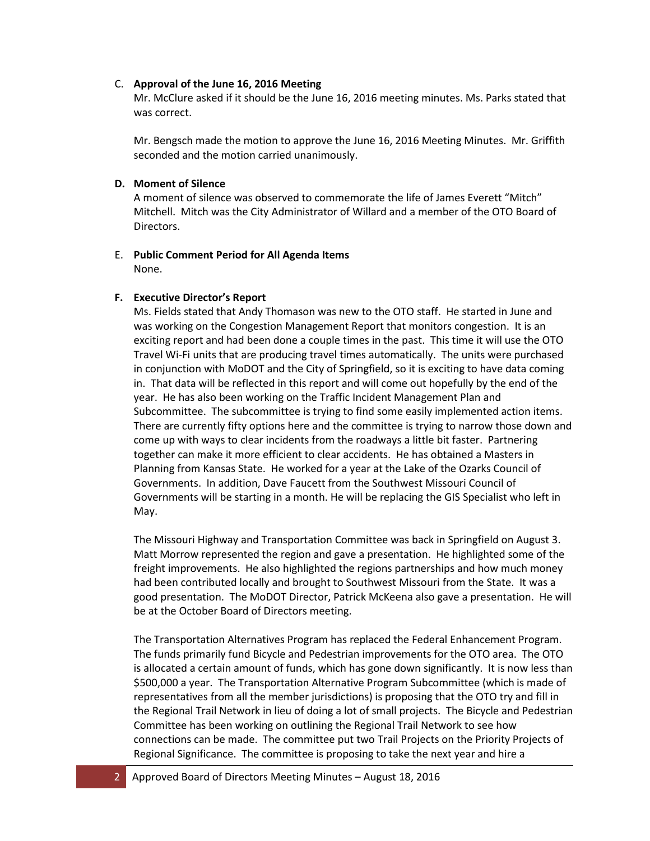### C. **Approval of the June 16, 2016 Meeting**

Mr. McClure asked if it should be the June 16, 2016 meeting minutes. Ms. Parks stated that was correct.

Mr. Bengsch made the motion to approve the June 16, 2016 Meeting Minutes. Mr. Griffith seconded and the motion carried unanimously.

## **D. Moment of Silence**

A moment of silence was observed to commemorate the life of James Everett "Mitch" Mitchell. Mitch was the City Administrator of Willard and a member of the OTO Board of Directors.

## E. **Public Comment Period for All Agenda Items**  None.

## **F. Executive Director's Report**

Ms. Fields stated that Andy Thomason was new to the OTO staff. He started in June and was working on the Congestion Management Report that monitors congestion. It is an exciting report and had been done a couple times in the past. This time it will use the OTO Travel Wi-Fi units that are producing travel times automatically. The units were purchased in conjunction with MoDOT and the City of Springfield, so it is exciting to have data coming in. That data will be reflected in this report and will come out hopefully by the end of the year. He has also been working on the Traffic Incident Management Plan and Subcommittee. The subcommittee is trying to find some easily implemented action items. There are currently fifty options here and the committee is trying to narrow those down and come up with ways to clear incidents from the roadways a little bit faster. Partnering together can make it more efficient to clear accidents. He has obtained a Masters in Planning from Kansas State. He worked for a year at the Lake of the Ozarks Council of Governments. In addition, Dave Faucett from the Southwest Missouri Council of Governments will be starting in a month. He will be replacing the GIS Specialist who left in May.

The Missouri Highway and Transportation Committee was back in Springfield on August 3. Matt Morrow represented the region and gave a presentation. He highlighted some of the freight improvements. He also highlighted the regions partnerships and how much money had been contributed locally and brought to Southwest Missouri from the State. It was a good presentation. The MoDOT Director, Patrick McKeena also gave a presentation. He will be at the October Board of Directors meeting.

The Transportation Alternatives Program has replaced the Federal Enhancement Program. The funds primarily fund Bicycle and Pedestrian improvements for the OTO area. The OTO is allocated a certain amount of funds, which has gone down significantly. It is now less than \$500,000 a year. The Transportation Alternative Program Subcommittee (which is made of representatives from all the member jurisdictions) is proposing that the OTO try and fill in the Regional Trail Network in lieu of doing a lot of small projects. The Bicycle and Pedestrian Committee has been working on outlining the Regional Trail Network to see how connections can be made. The committee put two Trail Projects on the Priority Projects of Regional Significance. The committee is proposing to take the next year and hire a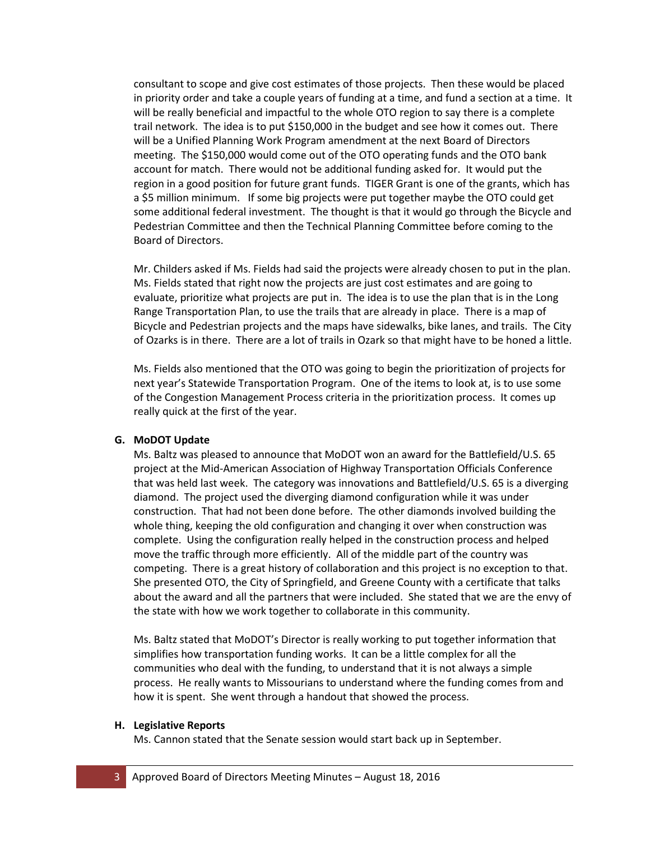consultant to scope and give cost estimates of those projects. Then these would be placed in priority order and take a couple years of funding at a time, and fund a section at a time. It will be really beneficial and impactful to the whole OTO region to say there is a complete trail network. The idea is to put \$150,000 in the budget and see how it comes out. There will be a Unified Planning Work Program amendment at the next Board of Directors meeting. The \$150,000 would come out of the OTO operating funds and the OTO bank account for match. There would not be additional funding asked for. It would put the region in a good position for future grant funds. TIGER Grant is one of the grants, which has a \$5 million minimum. If some big projects were put together maybe the OTO could get some additional federal investment. The thought is that it would go through the Bicycle and Pedestrian Committee and then the Technical Planning Committee before coming to the Board of Directors.

Mr. Childers asked if Ms. Fields had said the projects were already chosen to put in the plan. Ms. Fields stated that right now the projects are just cost estimates and are going to evaluate, prioritize what projects are put in. The idea is to use the plan that is in the Long Range Transportation Plan, to use the trails that are already in place. There is a map of Bicycle and Pedestrian projects and the maps have sidewalks, bike lanes, and trails. The City of Ozarks is in there. There are a lot of trails in Ozark so that might have to be honed a little.

Ms. Fields also mentioned that the OTO was going to begin the prioritization of projects for next year's Statewide Transportation Program. One of the items to look at, is to use some of the Congestion Management Process criteria in the prioritization process. It comes up really quick at the first of the year.

### **G. MoDOT Update**

Ms. Baltz was pleased to announce that MoDOT won an award for the Battlefield/U.S. 65 project at the Mid-American Association of Highway Transportation Officials Conference that was held last week. The category was innovations and Battlefield/U.S. 65 is a diverging diamond. The project used the diverging diamond configuration while it was under construction. That had not been done before. The other diamonds involved building the whole thing, keeping the old configuration and changing it over when construction was complete. Using the configuration really helped in the construction process and helped move the traffic through more efficiently. All of the middle part of the country was competing. There is a great history of collaboration and this project is no exception to that. She presented OTO, the City of Springfield, and Greene County with a certificate that talks about the award and all the partners that were included. She stated that we are the envy of the state with how we work together to collaborate in this community.

Ms. Baltz stated that MoDOT's Director is really working to put together information that simplifies how transportation funding works. It can be a little complex for all the communities who deal with the funding, to understand that it is not always a simple process. He really wants to Missourians to understand where the funding comes from and how it is spent. She went through a handout that showed the process.

#### **H. Legislative Reports**

Ms. Cannon stated that the Senate session would start back up in September.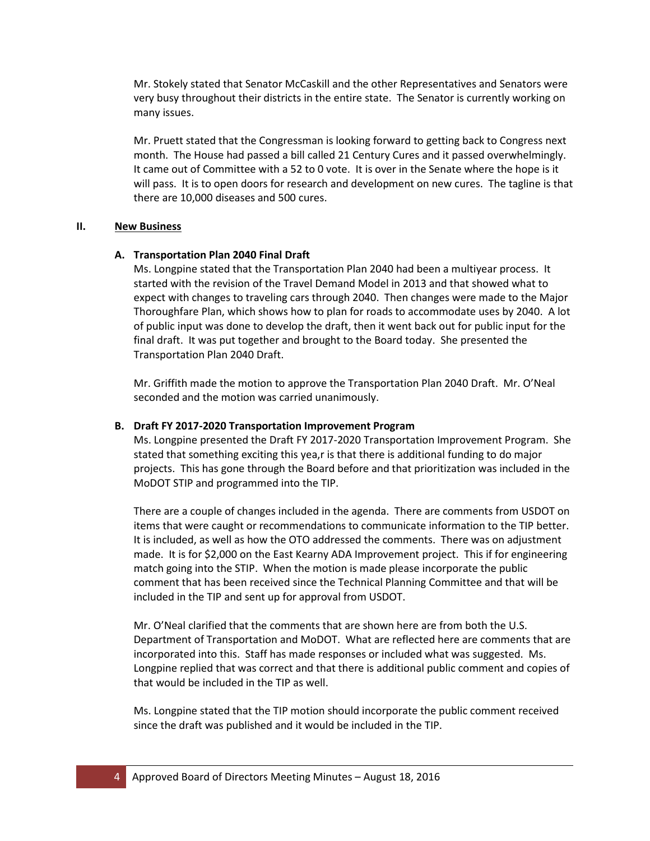Mr. Stokely stated that Senator McCaskill and the other Representatives and Senators were very busy throughout their districts in the entire state. The Senator is currently working on many issues.

Mr. Pruett stated that the Congressman is looking forward to getting back to Congress next month. The House had passed a bill called 21 Century Cures and it passed overwhelmingly. It came out of Committee with a 52 to 0 vote. It is over in the Senate where the hope is it will pass. It is to open doors for research and development on new cures. The tagline is that there are 10,000 diseases and 500 cures.

#### **II. New Business**

#### **A. Transportation Plan 2040 Final Draft**

Ms. Longpine stated that the Transportation Plan 2040 had been a multiyear process. It started with the revision of the Travel Demand Model in 2013 and that showed what to expect with changes to traveling cars through 2040. Then changes were made to the Major Thoroughfare Plan, which shows how to plan for roads to accommodate uses by 2040. A lot of public input was done to develop the draft, then it went back out for public input for the final draft. It was put together and brought to the Board today. She presented the Transportation Plan 2040 Draft.

Mr. Griffith made the motion to approve the Transportation Plan 2040 Draft. Mr. O'Neal seconded and the motion was carried unanimously.

#### **B. Draft FY 2017-2020 Transportation Improvement Program**

Ms. Longpine presented the Draft FY 2017-2020 Transportation Improvement Program.She stated that something exciting this yea,r is that there is additional funding to do major projects. This has gone through the Board before and that prioritization was included in the MoDOT STIP and programmed into the TIP.

There are a couple of changes included in the agenda. There are comments from USDOT on items that were caught or recommendations to communicate information to the TIP better. It is included, as well as how the OTO addressed the comments. There was on adjustment made. It is for \$2,000 on the East Kearny ADA Improvement project. This if for engineering match going into the STIP. When the motion is made please incorporate the public comment that has been received since the Technical Planning Committee and that will be included in the TIP and sent up for approval from USDOT.

Mr. O'Neal clarified that the comments that are shown here are from both the U.S. Department of Transportation and MoDOT. What are reflected here are comments that are incorporated into this. Staff has made responses or included what was suggested. Ms. Longpine replied that was correct and that there is additional public comment and copies of that would be included in the TIP as well.

Ms. Longpine stated that the TIP motion should incorporate the public comment received since the draft was published and it would be included in the TIP.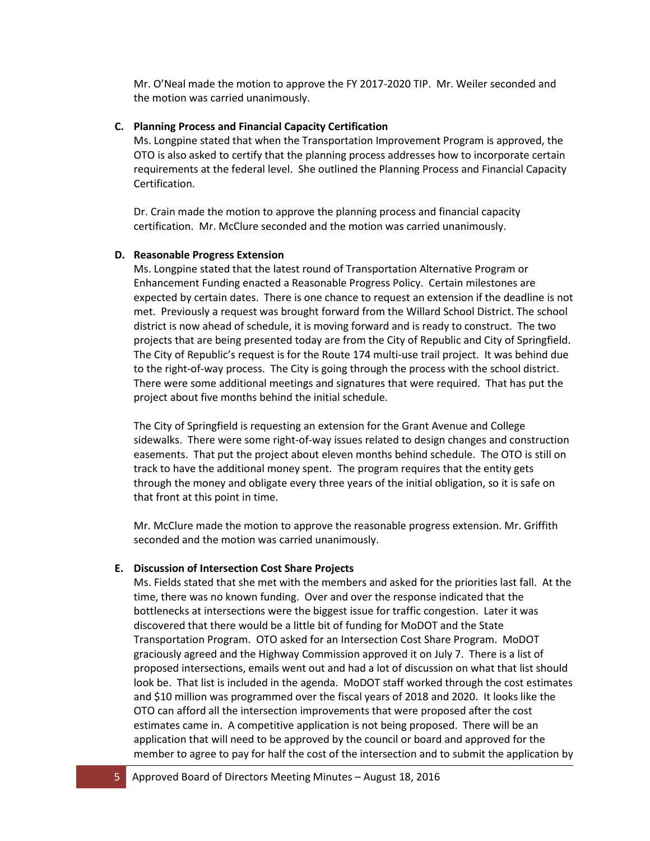Mr. O'Neal made the motion to approve the FY 2017-2020 TIP. Mr. Weiler seconded and the motion was carried unanimously.

### **C. Planning Process and Financial Capacity Certification**

Ms. Longpine stated that when the Transportation Improvement Program is approved, the OTO is also asked to certify that the planning process addresses how to incorporate certain requirements at the federal level. She outlined the Planning Process and Financial Capacity Certification.

Dr. Crain made the motion to approve the planning process and financial capacity certification. Mr. McClure seconded and the motion was carried unanimously.

#### **D. Reasonable Progress Extension**

Ms. Longpine stated that the latest round of Transportation Alternative Program or Enhancement Funding enacted a Reasonable Progress Policy. Certain milestones are expected by certain dates. There is one chance to request an extension if the deadline is not met. Previously a request was brought forward from the Willard School District. The school district is now ahead of schedule, it is moving forward and is ready to construct. The two projects that are being presented today are from the City of Republic and City of Springfield. The City of Republic's request is for the Route 174 multi-use trail project. It was behind due to the right-of-way process. The City is going through the process with the school district. There were some additional meetings and signatures that were required. That has put the project about five months behind the initial schedule.

The City of Springfield is requesting an extension for the Grant Avenue and College sidewalks. There were some right-of-way issues related to design changes and construction easements. That put the project about eleven months behind schedule. The OTO is still on track to have the additional money spent. The program requires that the entity gets through the money and obligate every three years of the initial obligation, so it is safe on that front at this point in time.

Mr. McClure made the motion to approve the reasonable progress extension. Mr. Griffith seconded and the motion was carried unanimously.

### **E. Discussion of Intersection Cost Share Projects**

Ms. Fields stated that she met with the members and asked for the priorities last fall. At the time, there was no known funding. Over and over the response indicated that the bottlenecks at intersections were the biggest issue for traffic congestion. Later it was discovered that there would be a little bit of funding for MoDOT and the State Transportation Program. OTO asked for an Intersection Cost Share Program. MoDOT graciously agreed and the Highway Commission approved it on July 7. There is a list of proposed intersections, emails went out and had a lot of discussion on what that list should look be. That list is included in the agenda. MoDOT staff worked through the cost estimates and \$10 million was programmed over the fiscal years of 2018 and 2020. It looks like the OTO can afford all the intersection improvements that were proposed after the cost estimates came in. A competitive application is not being proposed. There will be an application that will need to be approved by the council or board and approved for the member to agree to pay for half the cost of the intersection and to submit the application by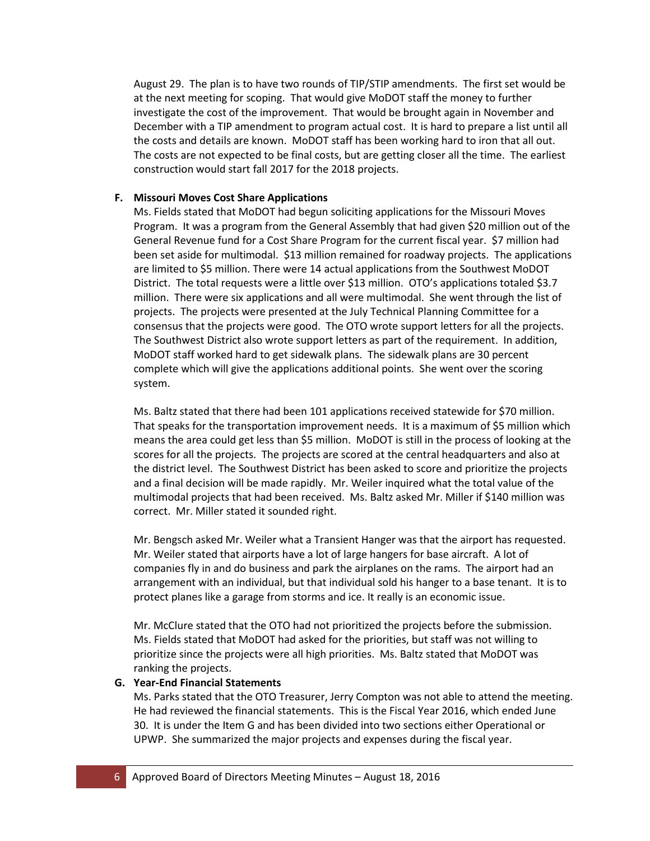August 29. The plan is to have two rounds of TIP/STIP amendments. The first set would be at the next meeting for scoping. That would give MoDOT staff the money to further investigate the cost of the improvement. That would be brought again in November and December with a TIP amendment to program actual cost. It is hard to prepare a list until all the costs and details are known. MoDOT staff has been working hard to iron that all out. The costs are not expected to be final costs, but are getting closer all the time. The earliest construction would start fall 2017 for the 2018 projects.

### **F. Missouri Moves Cost Share Applications**

Ms. Fields stated that MoDOT had begun soliciting applications for the Missouri Moves Program. It was a program from the General Assembly that had given \$20 million out of the General Revenue fund for a Cost Share Program for the current fiscal year. \$7 million had been set aside for multimodal. \$13 million remained for roadway projects. The applications are limited to \$5 million. There were 14 actual applications from the Southwest MoDOT District. The total requests were a little over \$13 million. OTO's applications totaled \$3.7 million. There were six applications and all were multimodal. She went through the list of projects. The projects were presented at the July Technical Planning Committee for a consensus that the projects were good. The OTO wrote support letters for all the projects. The Southwest District also wrote support letters as part of the requirement. In addition, MoDOT staff worked hard to get sidewalk plans. The sidewalk plans are 30 percent complete which will give the applications additional points. She went over the scoring system.

Ms. Baltz stated that there had been 101 applications received statewide for \$70 million. That speaks for the transportation improvement needs. It is a maximum of \$5 million which means the area could get less than \$5 million. MoDOT is still in the process of looking at the scores for all the projects. The projects are scored at the central headquarters and also at the district level. The Southwest District has been asked to score and prioritize the projects and a final decision will be made rapidly. Mr. Weiler inquired what the total value of the multimodal projects that had been received. Ms. Baltz asked Mr. Miller if \$140 million was correct. Mr. Miller stated it sounded right.

Mr. Bengsch asked Mr. Weiler what a Transient Hanger was that the airport has requested. Mr. Weiler stated that airports have a lot of large hangers for base aircraft. A lot of companies fly in and do business and park the airplanes on the rams. The airport had an arrangement with an individual, but that individual sold his hanger to a base tenant. It is to protect planes like a garage from storms and ice. It really is an economic issue.

Mr. McClure stated that the OTO had not prioritized the projects before the submission. Ms. Fields stated that MoDOT had asked for the priorities, but staff was not willing to prioritize since the projects were all high priorities. Ms. Baltz stated that MoDOT was ranking the projects.

### **G. Year-End Financial Statements**

Ms. Parks stated that the OTO Treasurer, Jerry Compton was not able to attend the meeting. He had reviewed the financial statements. This is the Fiscal Year 2016, which ended June 30. It is under the Item G and has been divided into two sections either Operational or UPWP. She summarized the major projects and expenses during the fiscal year.